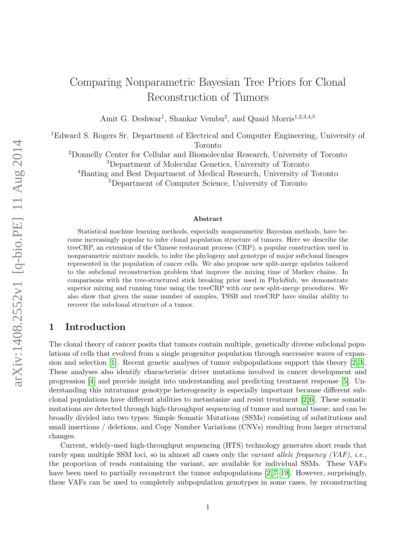# Comparing Nonparametric Bayesian Tree Priors for Clonal Reconstruction of Tumors

Amit G. Deshwar<sup>1</sup>, Shankar Vembu<sup>2</sup>, and Quaid Morris<sup>1,2,3,4,5</sup>

<sup>1</sup>Edward S. Rogers Sr. Department of Electrical and Computer Engineering, University of Toronto

<sup>2</sup>Donnelly Center for Cellular and Biomolecular Research, University of Toronto <sup>3</sup>Department of Molecular Genetics, University of Toronto

<sup>4</sup>Banting and Best Department of Medical Research, University of Toronto

<sup>5</sup>Department of Computer Science, University of Toronto

#### Abstract

Statistical machine learning methods, especially nonparametric Bayesian methods, have become increasingly popular to infer clonal population structure of tumors. Here we describe the treeCRP, an extension of the Chinese restaurant process (CRP), a popular construction used in nonparametric mixture models, to infer the phylogeny and genotype of major subclonal lineages represented in the population of cancer cells. We also propose new split-merge updates tailored to the subclonal reconstruction problem that improve the mixing time of Markov chains. In comparisons with the tree-structured stick breaking prior used in PhyloSub, we demonstrate superior mixing and running time using the treeCRP with our new split-merge procedures. We also show that given the same number of samples, TSSB and treeCRP have similar ability to recover the subclonal structure of a tumor.

## 1 Introduction

The clonal theory of cancer posits that tumors contain multiple, genetically diverse subclonal populations of cells that evolved from a single progenitor population through successive waves of expansion and selection [\[1\]](#page-10-0). Recent genetic analyses of tumor subpopulations support this theory [\[2,](#page-10-1) [3\]](#page-10-2). These analyses also identify characteristic driver mutations involved in cancer development and progression [\[4\]](#page-10-3) and provide insight into understanding and predicting treatment response [\[5\]](#page-10-4). Understanding this intratumor genotype heterogeneity is especially important because different subclonal populations have different abilities to metastasize and resist treatment  $[2, 6]$  $[2, 6]$ . These somatic mutations are detected through high-throughput sequencing of tumor and normal tissue; and can be broadly divided into two types: Simple Somatic Mutations (SSMs) consisting of substitutions and small insertions / deletions, and Copy Number Variations (CNVs) resulting from larger structural changes.

Current, widely-used high-throughput sequencing (HTS) technology generates short reads that rarely span multiple SSM loci, so in almost all cases only the variant allele frequency  $(VAR)$ , i.e., the proportion of reads containing the variant, are available for individual SSMs. These VAFs have been used to partially reconstruct the tumor subpopulations [\[2,](#page-10-1)7–[19\]](#page-11-0). However, surprisingly, these VAFs can be used to completely subpopulation genotypes in some cases, by reconstructing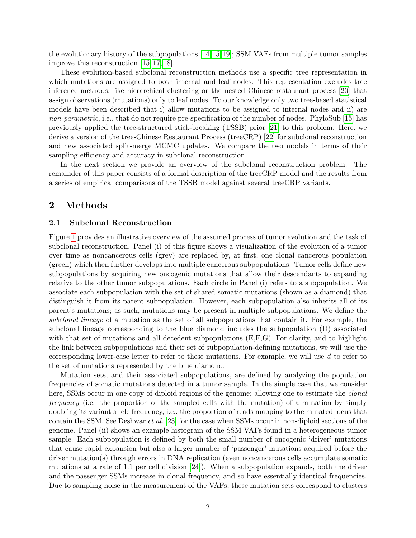the evolutionary history of the subpopulations [\[14,](#page-11-1)[15,](#page-11-2)[19\]](#page-11-0); SSM VAFs from multiple tumor samples improve this reconstruction [\[15,](#page-11-2) [17,](#page-11-3) [18\]](#page-11-4).

These evolution-based subclonal reconstruction methods use a specific tree representation in which mutations are assigned to both internal and leaf nodes. This representation excludes tree inference methods, like hierarchical clustering or the nested Chinese restaurant process [\[20\]](#page-11-5) that assign observations (mutations) only to leaf nodes. To our knowledge only two tree-based statistical models have been described that i) allow mutations to be assigned to internal nodes and ii) are non-parametric, i.e., that do not require pre-specification of the number of nodes. PhyloSub [\[15\]](#page-11-2) has previously applied the tree-structured stick-breaking (TSSB) prior [\[21\]](#page-11-6) to this problem. Here, we derive a version of the tree-Chinese Restaurant Process (treeCRP) [\[22\]](#page-12-0) for subclonal reconstruction and new associated split-merge MCMC updates. We compare the two models in terms of their sampling efficiency and accuracy in subclonal reconstruction.

In the next section we provide an overview of the subclonal reconstruction problem. The remainder of this paper consists of a formal description of the treeCRP model and the results from a series of empirical comparisons of the TSSB model against several treeCRP variants.

## 2 Methods

#### 2.1 Subclonal Reconstruction

Figure [1](#page-3-0) provides an illustrative overview of the assumed process of tumor evolution and the task of subclonal reconstruction. Panel (i) of this figure shows a visualization of the evolution of a tumor over time as noncancerous cells (grey) are replaced by, at first, one clonal cancerous population (green) which then further develops into multiple cancerous subpopulations. Tumor cells define new subpopulations by acquiring new oncogenic mutations that allow their descendants to expanding relative to the other tumor subpopulations. Each circle in Panel (i) refers to a subpopulation. We associate each subpopulation with the set of shared somatic mutations (shown as a diamond) that distinguish it from its parent subpopulation. However, each subpopulation also inherits all of its parent's mutations; as such, mutations may be present in multiple subpopulations. We define the subclonal lineage of a mutation as the set of all subpopulations that contain it. For example, the subclonal lineage corresponding to the blue diamond includes the subpopulation (D) associated with that set of mutations and all decedent subpopulations  $(E, F, G)$ . For clarity, and to highlight the link between subpopulations and their set of subpopulation-defining mutations, we will use the corresponding lower-case letter to refer to these mutations. For example, we will use d to refer to the set of mutations represented by the blue diamond.

Mutation sets, and their associated subpopulations, are defined by analyzing the population frequencies of somatic mutations detected in a tumor sample. In the simple case that we consider here, SSMs occur in one copy of diploid regions of the genome; allowing one to estimate the *clonal* frequency (i.e. the proportion of the sampled cells with the mutation) of a mutation by simply doubling its variant allele frequency, i.e., the proportion of reads mapping to the mutated locus that contain the SSM. See Deshwar et al. [\[23\]](#page-12-1) for the case when SSMs occur in non-diploid sections of the genome. Panel (ii) shows an example histogram of the SSM VAFs found in a heterogeneous tumor sample. Each subpopulation is defined by both the small number of oncogenic 'driver' mutations that cause rapid expansion but also a larger number of 'passenger' mutations acquired before the driver mutation(s) through errors in DNA replication (even noncancerous cells accumulate somatic mutations at a rate of 1.1 per cell division [\[24\]](#page-12-2)). When a subpopulation expands, both the driver and the passenger SSMs increase in clonal frequency, and so have essentially identical frequencies. Due to sampling noise in the measurement of the VAFs, these mutation sets correspond to clusters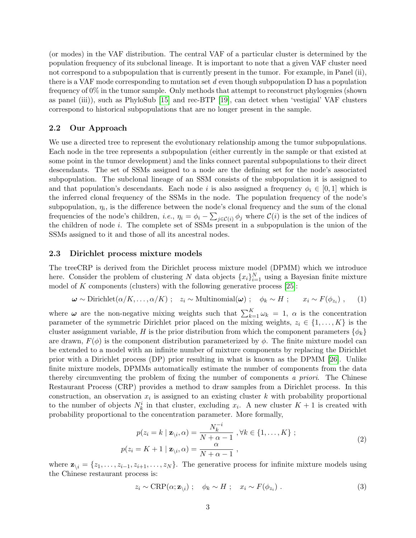(or modes) in the VAF distribution. The central VAF of a particular cluster is determined by the population frequency of its subclonal lineage. It is important to note that a given VAF cluster need not correspond to a subpopulation that is currently present in the tumor. For example, in Panel (ii), there is a VAF mode corresponding to mutation set  $d$  even though subpopulation D has a population frequency of 0% in the tumor sample. Only methods that attempt to reconstruct phylogenies (shown as panel (iii)), such as PhyloSub [\[15\]](#page-11-2) and rec-BTP [\[19\]](#page-11-0), can detect when 'vestigial' VAF clusters correspond to historical subpopulations that are no longer present in the sample.

#### 2.2 Our Approach

We use a directed tree to represent the evolutionary relationship among the tumor subpopulations. Each node in the tree represents a subpopulation (either currently in the sample or that existed at some point in the tumor development) and the links connect parental subpopulations to their direct descendants. The set of SSMs assigned to a node are the defining set for the node's associated subpopulation. The subclonal lineage of an SSM consists of the subpopulation it is assigned to and that population's descendants. Each node i is also assigned a frequency  $\phi_i \in [0,1]$  which is the inferred clonal frequency of the SSMs in the node. The population frequency of the node's subpopulation,  $\eta_i$ , is the difference between the node's clonal frequency and the sum of the clonal frequencies of the node's children, *i.e.*,  $\eta_i = \phi_i - \sum_{j \in C(i)} \phi_j$  where  $C(i)$  is the set of the indices of the children of node i. The complete set of SSMs present in a subpopulation is the union of the SSMs assigned to it and those of all its ancestral nodes.

#### 2.3 Dirichlet process mixture models

The treeCRP is derived from the Dirichlet process mixture model (DPMM) which we introduce here. Consider the problem of clustering N data objects  $\{x_i\}_{i=1}^N$  using a Bayesian finite mixture model of  $K$  components (clusters) with the following generative process [\[25\]](#page-12-3):

$$
\boldsymbol{\omega} \sim \text{Dirichlet}(\alpha/K, \dots, \alpha/K) \; ; \quad z_i \sim \text{Multinomial}(\boldsymbol{\omega}) \; ; \quad \phi_k \sim H \; ; \qquad x_i \sim F(\phi_{z_i}) \; , \qquad (1)
$$

where  $\omega$  are the non-negative mixing weights such that  $\sum_{k=1}^{K} \omega_k = 1$ ,  $\alpha$  is the concentration parameter of the symmetric Dirichlet prior placed on the mixing weights,  $z_i \in \{1, \ldots, K\}$  is the cluster assignment variable, H is the prior distribution from which the component parameters  $\{\phi_k\}$ are drawn,  $F(\phi)$  is the component distribution parameterized by  $\phi$ . The finite mixture model can be extended to a model with an infinite number of mixture components by replacing the Dirichlet prior with a Dirichlet process (DP) prior resulting in what is known as the DPMM [\[26\]](#page-12-4). Unlike finite mixture models, DPMMs automatically estimate the number of components from the data thereby circumventing the problem of fixing the number of components a priori. The Chinese Restaurant Process (CRP) provides a method to draw samples from a Dirichlet process. In this construction, an observation  $x_i$  is assigned to an existing cluster k with probability proportional to the number of objects  $N_k^i$  in that cluster, excluding  $x_i$ . A new cluster  $K + 1$  is created with probability proportional to the concentration parameter. More formally,

<span id="page-2-0"></span>
$$
p(z_i = k \mid \mathbf{z}_{\backslash i}, \alpha) = \frac{N_k^{-i}}{N + \alpha - 1}, \forall k \in \{1, \dots, K\} ;
$$
  

$$
p(z_i = K + 1 \mid \mathbf{z}_{\backslash i}, \alpha) = \frac{\alpha}{N + \alpha - 1},
$$
 (2)

where  $\mathbf{z}_{\setminus i} = \{z_1, \ldots, z_{i-1}, z_{i+1}, \ldots, z_N\}$ . The generative process for infinite mixture models using the Chinese restaurant process is:

$$
z_i \sim \text{CRP}(\alpha; \mathbf{z}_{\backslash i}) \; ; \quad \phi_k \sim H \; ; \quad x_i \sim F(\phi_{z_i}) \; . \tag{3}
$$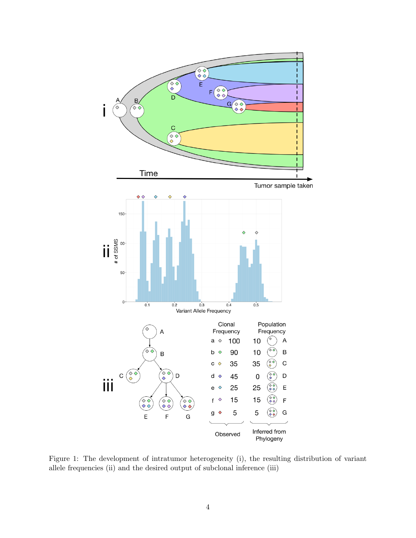

<span id="page-3-0"></span>Figure 1: The development of intratumor heterogeneity (i), the resulting distribution of variant allele frequencies (ii) and the desired output of subclonal inference (iii)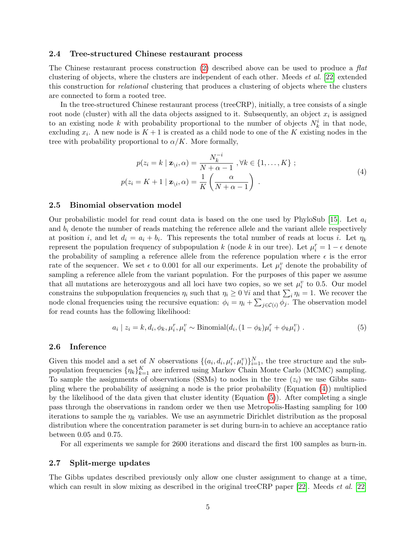#### 2.4 Tree-structured Chinese restaurant process

The Chinese restaurant process construction [\(2\)](#page-2-0) described above can be used to produce a flat clustering of objects, where the clusters are independent of each other. Meeds et al. [\[22\]](#page-12-0) extended this construction for relational clustering that produces a clustering of objects where the clusters are connected to form a rooted tree.

In the tree-structured Chinese restaurant process (treeCRP), initially, a tree consists of a single root node (cluster) with all the data objects assigned to it. Subsequently, an object  $x_i$  is assigned to an existing node k with probability proportional to the number of objects  $N_k^i$  in that node, excluding  $x_i$ . A new node is  $K+1$  is created as a child node to one of the K existing nodes in the tree with probability proportional to  $\alpha/K$ . More formally,

<span id="page-4-0"></span>
$$
p(z_i = k \mid \mathbf{z}_{\backslash i}, \alpha) = \frac{N_k^{-i}}{N + \alpha - 1}, \forall k \in \{1, \dots, K\};
$$
  

$$
p(z_i = K + 1 \mid \mathbf{z}_{\backslash i}, \alpha) = \frac{1}{K} \left(\frac{\alpha}{N + \alpha - 1}\right).
$$
 (4)

#### 2.5 Binomial observation model

Our probabilistic model for read count data is based on the one used by PhyloSub [\[15\]](#page-11-2). Let  $a_i$ and  $b_i$  denote the number of reads matching the reference allele and the variant allele respectively at position *i*, and let  $d_i = a_i + b_i$ . This represents the total number of reads at locus *i*. Let  $\eta_k$ represent the population frequency of subpopulation k (node k in our tree). Let  $\mu_i^r = 1 - \epsilon$  denote the probability of sampling a reference allele from the reference population where  $\epsilon$  is the error rate of the sequencer. We set  $\epsilon$  to 0.001 for all our experiments. Let  $\mu_i^v$  denote the probability of sampling a reference allele from the variant population. For the purposes of this paper we assume that all mutations are heterozygous and all loci have two copies, so we set  $\mu_i^v$  to 0.5. Our model constrains the subpopulation frequencies  $\eta_i$  such that  $\eta_i \geq 0$   $\forall i$  and that  $\sum_i \eta_i = 1$ . We recover the node clonal frequencies using the recursive equation:  $\phi_i = \eta_i + \sum_{j \in \mathcal{C}(i)} \phi_j$ . The observation model for read counts has the following likelihood:

<span id="page-4-1"></span>
$$
a_i | z_i = k, d_i, \phi_k, \mu_i^r, \mu_i^v \sim \text{Binomial}(d_i, (1 - \phi_k)\mu_i^r + \phi_k \mu_i^v) . \tag{5}
$$

#### 2.6 Inference

Given this model and a set of N observations  $\{(a_i, d_i, \mu_i^r, \mu_i^v)\}_{i=1}^N$ , the tree structure and the subpopulation frequencies  $\{\eta_k\}_{k=1}^K$  are inferred using Markov Chain Monte Carlo (MCMC) sampling. To sample the assignments of observations (SSMs) to nodes in the tree  $(z<sub>i</sub>)$  we use Gibbs sampling where the probability of assigning a node is the prior probability (Equation [\(4\)](#page-4-0)) multiplied by the likelihood of the data given that cluster identity (Equation [\(5\)](#page-4-1)). After completing a single pass through the observations in random order we then use Metropolis-Hasting sampling for 100 iterations to sample the  $\eta_k$  variables. We use an asymmetric Dirichlet distribution as the proposal distribution where the concentration parameter is set during burn-in to achieve an acceptance ratio between 0.05 and 0.75.

For all experiments we sample for 2600 iterations and discard the first 100 samples as burn-in.

#### 2.7 Split-merge updates

The Gibbs updates described previously only allow one cluster assignment to change at a time, which can result in slow mixing as described in the original treeCRP paper [\[22\]](#page-12-0). Meeds *et al.* [22]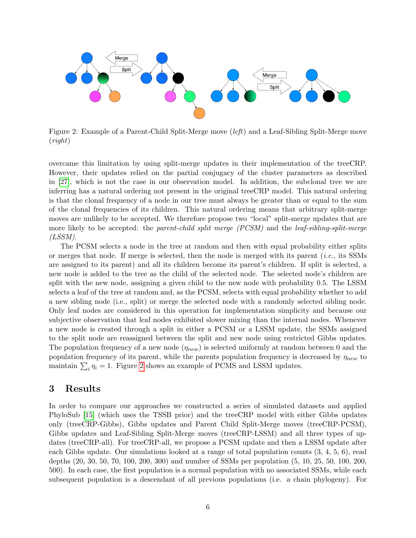

<span id="page-5-0"></span>Figure 2: Example of a Parent-Child Split-Merge move (left) and a Leaf-Sibling Split-Merge move (right)

overcame this limitation by using split-merge updates in their implementation of the treeCRP. However, their updates relied on the partial conjugacy of the cluster parameters as described in [\[27\]](#page-12-5), which is not the case in our observation model. In addition, the subclonal tree we are inferring has a natural ordering not present in the original treeCRP model. This natural ordering is that the clonal frequency of a node in our tree must always be greater than or equal to the sum of the clonal frequencies of its children. This natural ordering means that arbitrary split-merge moves are unlikely to be accepted. We therefore propose two "local" split-merge updates that are more likely to be accepted: the parent-child split merge (PCSM) and the leaf-sibling-split-merge (LSSM).

The PCSM selects a node in the tree at random and then with equal probability either splits or merges that node. If merge is selected, then the node is merged with its parent (i.e., its SSMs are assigned to its parent) and all its children become its parent's children. If split is selected, a new node is added to the tree as the child of the selected node. The selected node's children are split with the new node, assigning a given child to the new node with probability 0.5. The LSSM selects a leaf of the tree at random and, as the PCSM, selects with equal probability whether to add a new sibling node (i.e., split) or merge the selected node with a randomly selected sibling node. Only leaf nodes are considered in this operation for implementation simplicity and because our subjective observation that leaf nodes exhibited slower mixing than the internal nodes. Whenever a new node is created through a split in either a PCSM or a LSSM update, the SSMs assigned to the split node are reassigned between the split and new node using restricted Gibbs updates. The population frequency of a new node  $(\eta_{new})$  is selected uniformly at random between 0 and the population frequency of its parent, while the parents population frequency is decreased by  $\eta_{new}$  to maintain  $\sum_i \eta_i = 1$ . Figure [2](#page-5-0) shows an example of PCMS and LSSM updates.

## 3 Results

In order to compare our approaches we constructed a series of simulated datasets and applied PhyloSub [\[15\]](#page-11-2) (which uses the TSSB prior) and the treeCRP model with either Gibbs updates only (treeCRP-Gibbs), Gibbs updates and Parent Child Split-Merge moves (treeCRP-PCSM), Gibbs updates and Leaf-Sibling Split-Merge moves (treeCRP-LSSM) and all three types of updates (treeCRP-all). For treeCRP-all, we propose a PCSM update and then a LSSM update after each Gibbs update. Our simulations looked at a range of total population counts (3, 4, 5, 6), read depths (20, 30, 50, 70, 100, 200, 300) and number of SSMs per population (5, 10, 25, 50, 100, 200, 500). In each case, the first population is a normal population with no associated SSMs, while each subsequent population is a descendant of all previous populations (i.e. a chain phylogeny). For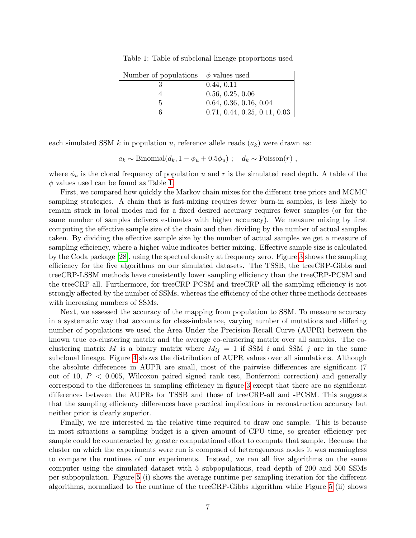| Number of populations $\phi$ values used |                                                                                                                                        |
|------------------------------------------|----------------------------------------------------------------------------------------------------------------------------------------|
|                                          | 0.44, 0.11                                                                                                                             |
|                                          |                                                                                                                                        |
|                                          |                                                                                                                                        |
|                                          | $\Big  \,\, 0.56 \,\, 0.25, \, 0.06 \,\, \ 0.64, \, 0.36, \, 0.16, \, 0.04 \,\, \ 0.71, \, 0.44, \, 0.25, \, 0.11, \, 0.03 \,\, \Big $ |

<span id="page-6-0"></span>Table 1: Table of subclonal lineage proportions used

each simulated SSM k in population u, reference allele reads  $(a_k)$  were drawn as:

 $a_k \sim \text{Binomial}(d_k, 1 - \phi_u + 0.5\phi_u); \quad d_k \sim \text{Poisson}(r)$ ,

where  $\phi_u$  is the clonal frequency of population u and r is the simulated read depth. A table of the  $\phi$  values used can be found as Table [1.](#page-6-0)

First, we compared how quickly the Markov chain mixes for the different tree priors and MCMC sampling strategies. A chain that is fast-mixing requires fewer burn-in samples, is less likely to remain stuck in local modes and for a fixed desired accuracy requires fewer samples (or for the same number of samples delivers estimates with higher accuracy). We measure mixing by first computing the effective sample size of the chain and then dividing by the number of actual samples taken. By dividing the effective sample size by the number of actual samples we get a measure of sampling efficiency, where a higher value indicates better mixing. Effective sample size is calculated by the Coda package [\[28\]](#page-12-6), using the spectral density at frequency zero. Figure [3](#page-7-0) shows the sampling efficiency for the five algorithms on our simulated datasets. The TSSB, the treeCRP-Gibbs and treeCRP-LSSM methods have consistently lower sampling efficiency than the treeCRP-PCSM and the treeCRP-all. Furthermore, for treeCRP-PCSM and treeCRP-all the sampling efficiency is not strongly affected by the number of SSMs, whereas the efficiency of the other three methods decreases with increasing numbers of SSMs.

Next, we assessed the accuracy of the mapping from population to SSM. To measure accuracy in a systematic way that accounts for class-imbalance, varying number of mutations and differing number of populations we used the Area Under the Precision-Recall Curve (AUPR) between the known true co-clustering matrix and the average co-clustering matrix over all samples. The coclustering matrix M is a binary matrix where  $M_{ij} = 1$  if SSM i and SSM j are in the same subclonal lineage. Figure [4](#page-7-1) shows the distribution of AUPR values over all simulations. Although the absolute differences in AUPR are small, most of the pairwise differences are significant (7 out of 10,  $P < 0.005$ , Wilcoxon paired signed rank test, Bonferroni correction) and generally correspond to the differences in sampling efficiency in figure [3](#page-7-0) except that there are no significant differences between the AUPRs for TSSB and those of treeCRP-all and -PCSM. This suggests that the sampling efficiency differences have practical implications in reconstruction accuracy but neither prior is clearly superior.

Finally, we are interested in the relative time required to draw one sample. This is because in most situations a sampling budget is a given amount of CPU time, so greater efficiency per sample could be counteracted by greater computational effort to compute that sample. Because the cluster on which the experiments were run is composed of heterogeneous nodes it was meaningless to compare the runtimes of our experiments. Instead, we ran all five algorithms on the same computer using the simulated dataset with 5 subpopulations, read depth of 200 and 500 SSMs per subpopulation. Figure [5](#page-8-0) (i) shows the average runtime per sampling iteration for the different algorithms, normalized to the runtime of the treeCRP-Gibbs algorithm while Figure [5](#page-8-0) (ii) shows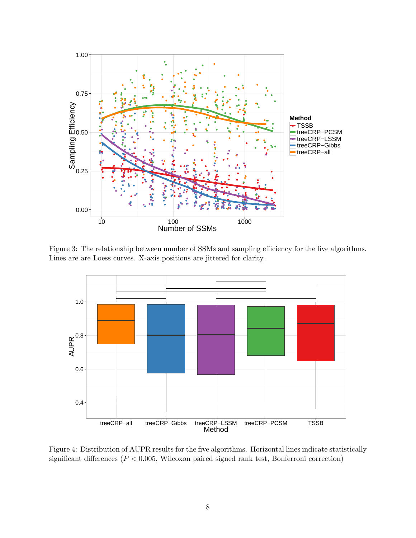

<span id="page-7-0"></span>Figure 3: The relationship between number of SSMs and sampling efficiency for the five algorithms. Lines are are Loess curves. X-axis positions are jittered for clarity.



<span id="page-7-1"></span>Figure 4: Distribution of AUPR results for the five algorithms. Horizontal lines indicate statistically significant differences ( $P < 0.005$ , Wilcoxon paired signed rank test, Bonferroni correction)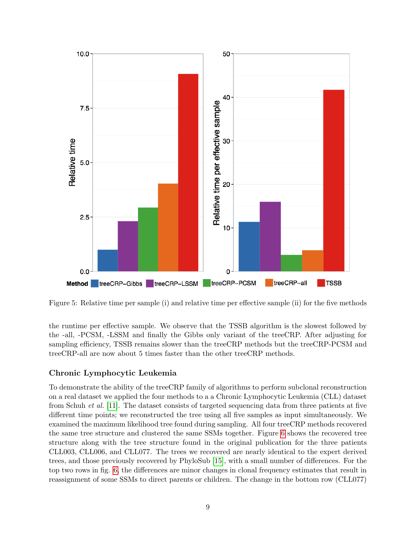

<span id="page-8-0"></span>Figure 5: Relative time per sample (i) and relative time per effective sample (ii) for the five methods

the runtime per effective sample. We observe that the TSSB algorithm is the slowest followed by the -all, -PCSM, -LSSM and finally the Gibbs only variant of the treeCRP. After adjusting for sampling efficiency, TSSB remains slower than the treeCRP methods but the treeCRP-PCSM and treeCRP-all are now about 5 times faster than the other treeCRP methods.

### Chronic Lymphocytic Leukemia

To demonstrate the ability of the treeCRP family of algorithms to perform subclonal reconstruction on a real dataset we applied the four methods to a a Chronic Lymphocytic Leukemia (CLL) dataset from Schuh et al. [\[11\]](#page-11-7). The dataset consists of targeted sequencing data from three patients at five different time points; we reconstructed the tree using all five samples as input simultaneously. We examined the maximum likelihood tree found during sampling. All four treeCRP methods recovered the same tree structure and clustered the same SSMs together. Figure [6](#page-9-0) shows the recovered tree structure along with the tree structure found in the original publication for the three patients CLL003, CLL006, and CLL077. The trees we recovered are nearly identical to the expert derived trees, and those previously recovered by PhyloSub [\[15\]](#page-11-2), with a small number of differences. For the top two rows in fig. [6,](#page-9-0) the differences are minor changes in clonal frequency estimates that result in reassignment of some SSMs to direct parents or children. The change in the bottom row (CLL077)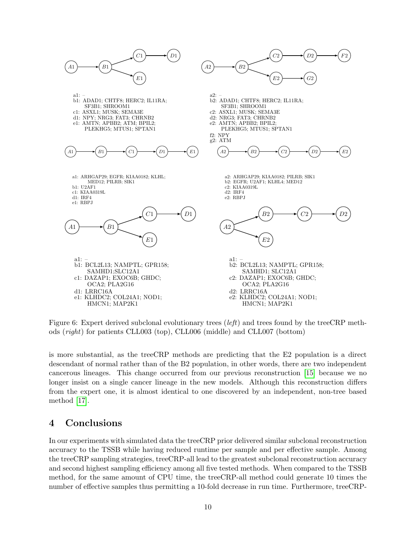

<span id="page-9-0"></span>Figure 6: Expert derived subclonal evolutionary trees (*left*) and trees found by the treeCRP methods (right) for patients CLL003 (top), CLL006 (middle) and CLL007 (bottom)

is more substantial, as the treeCRP methods are predicting that the E2 population is a direct descendant of normal rather than of the B2 population, in other words, there are two independent cancerous lineages. This change occurred from our previous reconstruction [\[15\]](#page-11-2) because we no longer insist on a single cancer lineage in the new models. Although this reconstruction differs from the expert one, it is almost identical to one discovered by an independent, non-tree based method [\[17\]](#page-11-3).

## 4 Conclusions

In our experiments with simulated data the treeCRP prior delivered similar subclonal reconstruction accuracy to the TSSB while having reduced runtime per sample and per effective sample. Among the treeCRP sampling strategies, treeCRP-all lead to the greatest subclonal reconstruction accuracy and second highest sampling efficiency among all five tested methods. When compared to the TSSB method, for the same amount of CPU time, the treeCRP-all method could generate 10 times the number of effective samples thus permitting a 10-fold decrease in run time. Furthermore, treeCRP-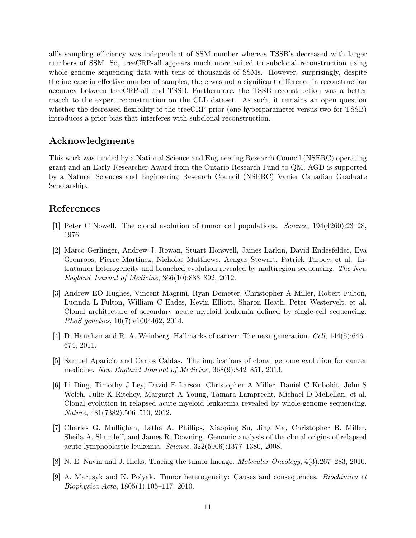all's sampling efficiency was independent of SSM number whereas TSSB's decreased with larger numbers of SSM. So, treeCRP-all appears much more suited to subclonal reconstruction using whole genome sequencing data with tens of thousands of SSMs. However, surprisingly, despite the increase in effective number of samples, there was not a significant difference in reconstruction accuracy between treeCRP-all and TSSB. Furthermore, the TSSB reconstruction was a better match to the expert reconstruction on the CLL dataset. As such, it remains an open question whether the decreased flexibility of the treeCRP prior (one hyperparameter versus two for TSSB) introduces a prior bias that interferes with subclonal reconstruction.

## Acknowledgments

This work was funded by a National Science and Engineering Research Council (NSERC) operating grant and an Early Researcher Award from the Ontario Research Fund to QM. AGD is supported by a Natural Sciences and Engineering Research Council (NSERC) Vanier Canadian Graduate Scholarship.

## References

- <span id="page-10-0"></span>[1] Peter C Nowell. The clonal evolution of tumor cell populations. Science, 194(4260):23–28, 1976.
- <span id="page-10-1"></span>[2] Marco Gerlinger, Andrew J. Rowan, Stuart Horswell, James Larkin, David Endesfelder, Eva Gronroos, Pierre Martinez, Nicholas Matthews, Aengus Stewart, Patrick Tarpey, et al. Intratumor heterogeneity and branched evolution revealed by multiregion sequencing. The New England Journal of Medicine, 366(10):883–892, 2012.
- <span id="page-10-2"></span>[3] Andrew EO Hughes, Vincent Magrini, Ryan Demeter, Christopher A Miller, Robert Fulton, Lucinda L Fulton, William C Eades, Kevin Elliott, Sharon Heath, Peter Westervelt, et al. Clonal architecture of secondary acute myeloid leukemia defined by single-cell sequencing. PLoS genetics, 10(7):e1004462, 2014.
- <span id="page-10-3"></span>[4] D. Hanahan and R. A. Weinberg. Hallmarks of cancer: The next generation. Cell, 144(5):646– 674, 2011.
- <span id="page-10-4"></span>[5] Samuel Aparicio and Carlos Caldas. The implications of clonal genome evolution for cancer medicine. New England Journal of Medicine, 368(9):842–851, 2013.
- <span id="page-10-5"></span>[6] Li Ding, Timothy J Ley, David E Larson, Christopher A Miller, Daniel C Koboldt, John S Welch, Julie K Ritchey, Margaret A Young, Tamara Lamprecht, Michael D McLellan, et al. Clonal evolution in relapsed acute myeloid leukaemia revealed by whole-genome sequencing. Nature, 481(7382):506–510, 2012.
- <span id="page-10-6"></span>[7] Charles G. Mullighan, Letha A. Phillips, Xiaoping Su, Jing Ma, Christopher B. Miller, Sheila A. Shurtleff, and James R. Downing. Genomic analysis of the clonal origins of relapsed acute lymphoblastic leukemia. Science, 322(5906):1377–1380, 2008.
- [8] N. E. Navin and J. Hicks. Tracing the tumor lineage. Molecular Oncology, 4(3):267–283, 2010.
- [9] A. Marusyk and K. Polyak. Tumor heterogeneity: Causes and consequences. Biochimica et Biophysica Acta, 1805(1):105–117, 2010.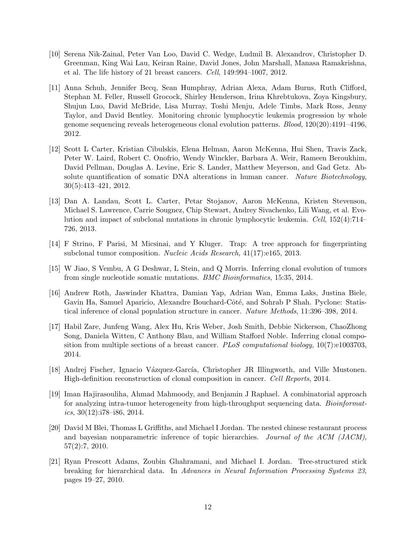- [10] Serena Nik-Zainal, Peter Van Loo, David C. Wedge, Ludmil B. Alexandrov, Christopher D. Greenman, King Wai Lau, Keiran Raine, David Jones, John Marshall, Manasa Ramakrishna, et al. The life history of 21 breast cancers. Cell, 149:994–1007, 2012.
- <span id="page-11-7"></span>[11] Anna Schuh, Jennifer Becq, Sean Humphray, Adrian Alexa, Adam Burns, Ruth Clifford, Stephan M. Feller, Russell Grocock, Shirley Henderson, Irina Khrebtukova, Zoya Kingsbury, Shujun Luo, David McBride, Lisa Murray, Toshi Menju, Adele Timbs, Mark Ross, Jenny Taylor, and David Bentley. Monitoring chronic lymphocytic leukemia progression by whole genome sequencing reveals heterogeneous clonal evolution patterns. Blood, 120(20):4191–4196, 2012.
- [12] Scott L Carter, Kristian Cibulskis, Elena Helman, Aaron McKenna, Hui Shen, Travis Zack, Peter W. Laird, Robert C. Onofrio, Wendy Winckler, Barbara A. Weir, Rameen Beroukhim, David Pellman, Douglas A. Levine, Eric S. Lander, Matthew Meyerson, and Gad Getz. Absolute quantification of somatic DNA alterations in human cancer. Nature Biotechnology, 30(5):413–421, 2012.
- [13] Dan A. Landau, Scott L. Carter, Petar Stojanov, Aaron McKenna, Kristen Stevenson, Michael S. Lawrence, Carrie Sougnez, Chip Stewart, Andrey Sivachenko, Lili Wang, et al. Evolution and impact of subclonal mutations in chronic lymphocytic leukemia. Cell, 152(4):714– 726, 2013.
- <span id="page-11-1"></span>[14] F Strino, F Parisi, M Micsinai, and Y Kluger. Trap: A tree approach for fingerprinting subclonal tumor composition. *Nucleic Acids Research*, 41(17):e165, 2013.
- <span id="page-11-2"></span>[15] W Jiao, S Vembu, A G Deshwar, L Stein, and Q Morris. Inferring clonal evolution of tumors from single nucleotide somatic mutations. BMC Bioinformatics, 15:35, 2014.
- [16] Andrew Roth, Jaswinder Khattra, Damian Yap, Adrian Wan, Emma Laks, Justina Biele, Gavin Ha, Samuel Aparicio, Alexandre Bouchard-Côté, and Sohrab P Shah. Pyclone: Statistical inference of clonal population structure in cancer. Nature Methods, 11:396–398, 2014.
- <span id="page-11-3"></span>[17] Habil Zare, Junfeng Wang, Alex Hu, Kris Weber, Josh Smith, Debbie Nickerson, ChaoZhong Song, Daniela Witten, C Anthony Blau, and William Stafford Noble. Inferring clonal composition from multiple sections of a breast cancer. PLoS computational biology,  $10(7):e1003703$ , 2014.
- <span id="page-11-4"></span>[18] Andrej Fischer, Ignacio Vázquez-García, Christopher JR Illingworth, and Ville Mustonen. High-definition reconstruction of clonal composition in cancer. Cell Reports, 2014.
- <span id="page-11-0"></span>[19] Iman Hajirasouliha, Ahmad Mahmoody, and Benjamin J Raphael. A combinatorial approach for analyzing intra-tumor heterogeneity from high-throughput sequencing data. Bioinformatics,  $30(12):i78-i86$ ,  $2014$ .
- <span id="page-11-5"></span>[20] David M Blei, Thomas L Griffiths, and Michael I Jordan. The nested chinese restaurant process and bayesian nonparametric inference of topic hierarchies. Journal of the ACM (JACM), 57(2):7, 2010.
- <span id="page-11-6"></span>[21] Ryan Prescott Adams, Zoubin Ghahramani, and Michael I. Jordan. Tree-structured stick breaking for hierarchical data. In Advances in Neural Information Processing Systems 23, pages 19–27, 2010.